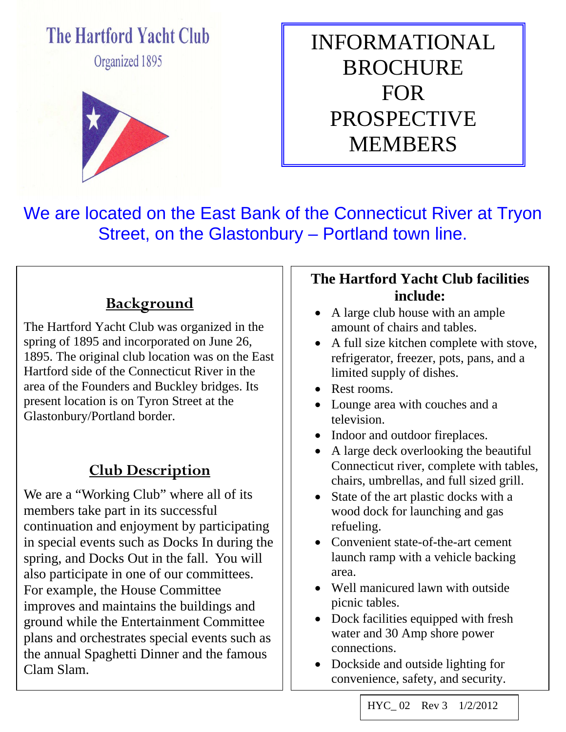# The Hartford Yacht Club

Organized 1895



INFORMATIONAL BROCHURE FOR PROSPECTIVE MEMBERS

We are located on the East Bank of the Connecticut River at Tryon Street, on the Glastonbury – Portland town line.

# **Background**

The Hartford Yacht Club was organized in the spring of 1895 and incorporated on June 26, 1895. The original club location was on the East Hartford side of the Connecticut River in the area of the Founders and Buckley bridges. Its present location is on Tyron Street at the Glastonbury/Portland border.

# **Club Description**

We are a "Working Club" where all of its members take part in its successful continuation and enjoyment by participating in special events such as Docks In during the spring, and Docks Out in the fall. You will also participate in one of our committees. For example, the House Committee improves and maintains the buildings and ground while the Entertainment Committee plans and orchestrates special events such as the annual Spaghetti Dinner and the famous Clam Slam.

#### **The Hartford Yacht Club facilities include:**

- A large club house with an ample amount of chairs and tables.
- A full size kitchen complete with stove. refrigerator, freezer, pots, pans, and a limited supply of dishes.
- Rest rooms.
- Lounge area with couches and a television.
- Indoor and outdoor fireplaces.
- A large deck overlooking the beautiful Connecticut river, complete with tables, chairs, umbrellas, and full sized grill.
- State of the art plastic docks with a wood dock for launching and gas refueling.
- Convenient state-of-the-art cement launch ramp with a vehicle backing area.
- Well manicured lawn with outside picnic tables.
- Dock facilities equipped with fresh water and 30 Amp shore power connections.
- Dockside and outside lighting for convenience, safety, and security.

HYC\_ 02 Rev 3 1/2/2012